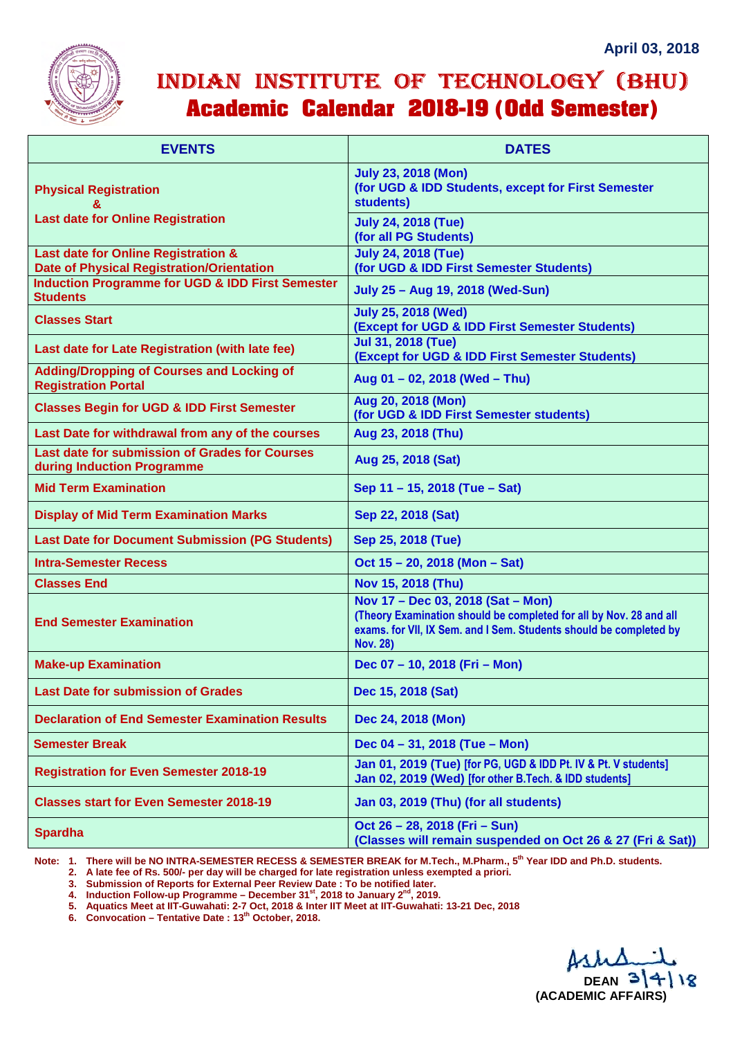

## INDIAN INSTITUTE OF TECHNOLOGY (BHU) **Academic Calendar 2018-19 (Odd Semester)**

| <b>EVENTS</b>                                                                           | <b>DATES</b>                                                                                                                                                                                     |
|-----------------------------------------------------------------------------------------|--------------------------------------------------------------------------------------------------------------------------------------------------------------------------------------------------|
| <b>Physical Registration</b>                                                            | <b>July 23, 2018 (Mon)</b><br>(for UGD & IDD Students, except for First Semester<br>students)                                                                                                    |
| <b>Last date for Online Registration</b>                                                | <b>July 24, 2018 (Tue)</b><br>(for all PG Students)                                                                                                                                              |
| Last date for Online Registration &<br><b>Date of Physical Registration/Orientation</b> | <b>July 24, 2018 (Tue)</b><br>(for UGD & IDD First Semester Students)                                                                                                                            |
| <b>Induction Programme for UGD &amp; IDD First Semester</b><br><b>Students</b>          | July 25 - Aug 19, 2018 (Wed-Sun)                                                                                                                                                                 |
| <b>Classes Start</b>                                                                    | <b>July 25, 2018 (Wed)</b><br>(Except for UGD & IDD First Semester Students)                                                                                                                     |
| Last date for Late Registration (with late fee)                                         | <b>Jul 31, 2018 (Tue)</b><br>(Except for UGD & IDD First Semester Students)                                                                                                                      |
| <b>Adding/Dropping of Courses and Locking of</b><br><b>Registration Portal</b>          | Aug 01 - 02, 2018 (Wed - Thu)                                                                                                                                                                    |
| <b>Classes Begin for UGD &amp; IDD First Semester</b>                                   | Aug 20, 2018 (Mon)<br>(for UGD & IDD First Semester students)                                                                                                                                    |
| Last Date for withdrawal from any of the courses                                        | Aug 23, 2018 (Thu)                                                                                                                                                                               |
| <b>Last date for submission of Grades for Courses</b><br>during Induction Programme     | Aug 25, 2018 (Sat)                                                                                                                                                                               |
| <b>Mid Term Examination</b>                                                             | Sep 11 - 15, 2018 (Tue - Sat)                                                                                                                                                                    |
| <b>Display of Mid Term Examination Marks</b>                                            | Sep 22, 2018 (Sat)                                                                                                                                                                               |
| <b>Last Date for Document Submission (PG Students)</b>                                  | Sep 25, 2018 (Tue)                                                                                                                                                                               |
| <b>Intra-Semester Recess</b>                                                            | Oct 15 - 20, 2018 (Mon - Sat)                                                                                                                                                                    |
| <b>Classes End</b>                                                                      | Nov 15, 2018 (Thu)                                                                                                                                                                               |
| <b>End Semester Examination</b>                                                         | Nov 17 - Dec 03, 2018 (Sat - Mon)<br>(Theory Examination should be completed for all by Nov. 28 and all<br>exams. for VII, IX Sem. and I Sem. Students should be completed by<br><b>Nov. 28)</b> |
| <b>Make-up Examination</b>                                                              | Dec 07 - 10, 2018 (Fri - Mon)                                                                                                                                                                    |
| <b>Last Date for submission of Grades</b>                                               | Dec 15, 2018 (Sat)                                                                                                                                                                               |
| <b>Declaration of End Semester Examination Results</b>                                  | Dec 24, 2018 (Mon)                                                                                                                                                                               |
| <b>Semester Break</b>                                                                   | Dec 04 - 31, 2018 (Tue - Mon)                                                                                                                                                                    |
| <b>Registration for Even Semester 2018-19</b>                                           | Jan 01, 2019 (Tue) [for PG, UGD & IDD Pt. IV & Pt. V students]<br>Jan 02, 2019 (Wed) [for other B.Tech. & IDD students]                                                                          |
| <b>Classes start for Even Semester 2018-19</b>                                          | Jan 03, 2019 (Thu) (for all students)                                                                                                                                                            |
| <b>Spardha</b>                                                                          | Oct 26 - 28, 2018 (Fri - Sun)<br>(Classes will remain suspended on Oct 26 & 27 (Fri & Sat))                                                                                                      |

**Note: 1. There will be NO INTRA-SEMESTER RECESS & SEMESTER BREAK for M.Tech., M.Pharm., 5th Year IDD and Ph.D. students.** 

 **2. A late fee of Rs. 500/- per day will be charged for late registration unless exempted a priori.** 

 **3. Submission of Reports for External Peer Review Date : To be notified later.** 

 **4. Induction Follow-up Programme – December 31st, 2018 to January 2nd, 2019.** 

 **5. Aquatics Meet at IIT-Guwahati: 2-7 Oct, 2018 & Inter IIT Meet at IIT-Guwahati: 13-21 Dec, 2018**

 **6. Convocation – Tentative Date : 13th October, 2018.**

**DEAN 31** 18 **(ACADEMIC AFFAIRS)**